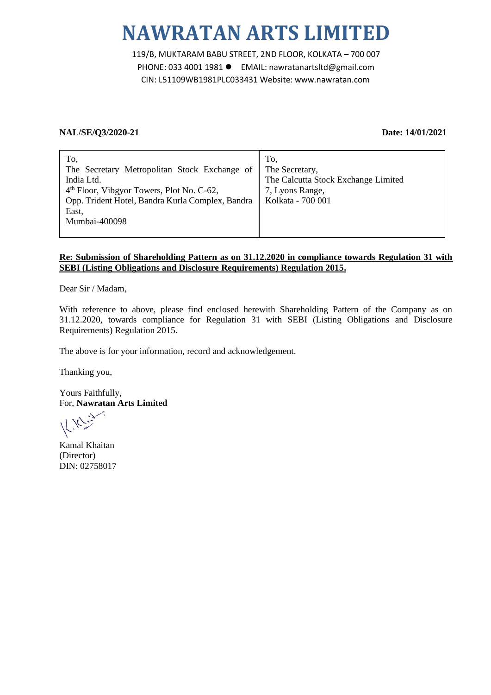# **NAWRATAN ARTS LIMITED**

119/B, MUKTARAM BABU STREET, 2ND FLOOR, KOLKATA – 700 007 PHONE: 033 4001 1981 ● EMAIL: nawratanartsltd@gmail.com CIN: L51109WB1981PLC033431 Website: www.nawratan.com

# **NAL/SE/Q3/2020-21 Date: 14/01/2021**

# **Re: Submission of Shareholding Pattern as on 31.12.2020 in compliance towards Regulation 31 with SEBI (Listing Obligations and Disclosure Requirements) Regulation 2015.**

Dear Sir / Madam,

With reference to above, please find enclosed herewith Shareholding Pattern of the Company as on 31.12.2020, towards compliance for Regulation 31 with SEBI (Listing Obligations and Disclosure Requirements) Regulation 2015.

The above is for your information, record and acknowledgement.

Thanking you,

Yours Faithfully, For, **Nawratan Arts Limited**

Kamal Khaitan (Director) DIN: 02758017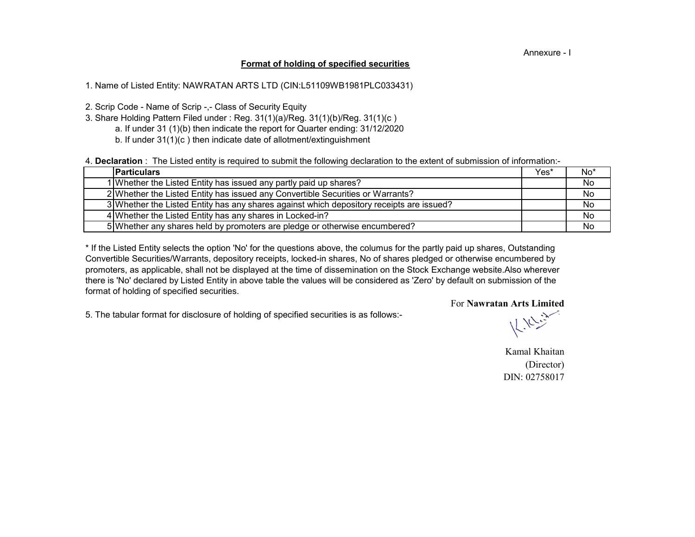### Annexure - I

## **Format of holding of specified securities**

1. Name of Listed Entity: NAWRATAN ARTS LTD (CIN:L51109WB1981PLC033431)

2. Scrip Code - Name of Scrip -,- Class of Security Equity

- a. If under 31 (1)(b) then indicate the report for Quarter ending: 31/12/2020 3. Share Holding Pattern Filed under : Reg. 31(1)(a)/Reg. 31(1)(b)/Reg. 31(1)(c )
	- b. If under 31(1)(c ) then indicate date of allotment/extinguishment

4. **Declaration** : The Listed entity is required to submit the following declaration to the extent of submission of information:-

| <b>IParticulars</b>                                                                      | Yes* | No* |
|------------------------------------------------------------------------------------------|------|-----|
| 1 Whether the Listed Entity has issued any partly paid up shares?                        |      | No  |
| 2 Whether the Listed Entity has issued any Convertible Securities or Warrants?           |      | No  |
| 3 Whether the Listed Entity has any shares against which depository receipts are issued? |      | No  |
| 4 Whether the Listed Entity has any shares in Locked-in?                                 |      | No  |
| 5 Whether any shares held by promoters are pledge or otherwise encumbered?               |      | No  |

there is 'No' declared by Listed Entity in above table the values will be considered as 'Zero' by default on submission of the format of holding of specified securities. \* If the Listed Entity selects the option 'No' for the questions above, the columus for the partly paid up shares, Outstanding Convertible Securities/Warrants, depository receipts, locked-in shares, No of shares pledged or otherwise encumbered by promoters, as applicable, shall not be displayed at the time of dissemination on the Stock Exchange website.Also wherever

For **Nawratan Arts Limited** 5. The tabular format for disclosure of holding of specified securities is as follows:-

 $k_{\text{max}}$ 

Kamal Khaitan (Director) DIN: 02758017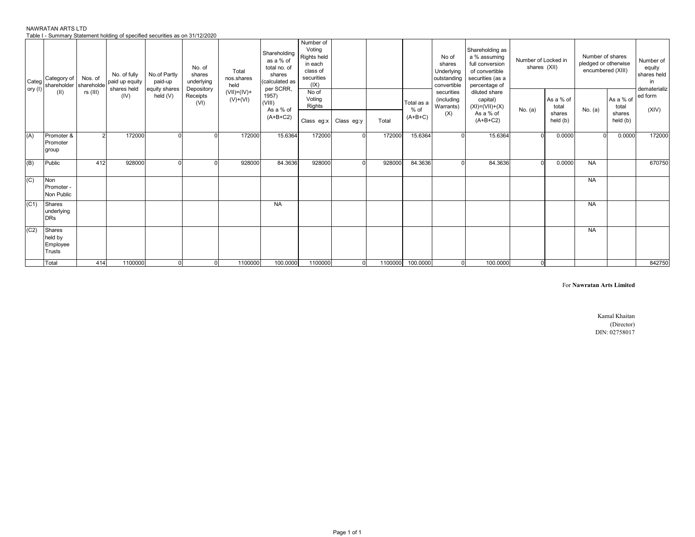|      | Category of<br>Categ<br>shareholder shareholde<br>ory (I) | Nos. of        | No. of fully<br>paid up equity<br>shares held | No.of Partly<br>paid-up   | No. of<br>shares<br>underlying | Total<br>nos.shares<br>held | Shareholding<br>as a % of<br>total no. of<br>shares<br>calculated as<br>per SCRR, | Number of<br>Voting<br>Rights held<br>in each<br>class of<br>securities<br>(IX) |            |        |                    | No of<br>shares<br>Underlying<br>outstanding<br>convertible | Shareholding as<br>a % assuming<br>full conversion<br>of convertible<br>securities (as a<br>percentage of | Number of Locked in<br>shares (XII) |                    | Number of shares<br>pledged or otherwise<br>encumbered (XIII) |                    | Number of<br>equity<br>shares held<br>in<br>dematerializ |
|------|-----------------------------------------------------------|----------------|-----------------------------------------------|---------------------------|--------------------------------|-----------------------------|-----------------------------------------------------------------------------------|---------------------------------------------------------------------------------|------------|--------|--------------------|-------------------------------------------------------------|-----------------------------------------------------------------------------------------------------------|-------------------------------------|--------------------|---------------------------------------------------------------|--------------------|----------------------------------------------------------|
|      | (II)                                                      | $rs$ (III)     | (IV)                                          | equity shares<br>held (V) | Depository<br>Receipts<br>(VI) | $(VII)=(IV)+$<br>$(V)+(V)$  | 1957)<br>(VIII)<br>As a % of                                                      | No of<br>Voting<br>Rights                                                       |            |        | Total as a<br>% of | securities<br>(including<br>Warrants)                       | diluted share<br>capital)<br>$(XI) = (VII) + (X)$                                                         | No. (a)                             | As a % of<br>total | No. (a)                                                       | As a % of<br>total | ed form<br>(XIV)                                         |
|      |                                                           |                |                                               |                           |                                |                             | $(A+B+C2)$                                                                        | Class eg:x                                                                      | Class eg:y | Total  | $(A+B+C)$          | (X)                                                         | As a % of<br>$(A+B+C2)$                                                                                   |                                     | shares<br>held (b) |                                                               | shares<br>held (b) |                                                          |
| (A)  | Promoter &<br>Promoter<br>group                           | $\overline{2}$ | 172000                                        | $\Omega$                  |                                | 172000                      | 15.6364                                                                           | 172000                                                                          | $\Omega$   | 172000 | 15.6364            | $\Omega$                                                    | 15.6364                                                                                                   | $\Omega$                            | 0.0000             | $\Omega$                                                      | 0.0000             | 172000                                                   |
| (B)  | Public                                                    | 412            | 928000                                        |                           |                                | 928000                      | 84.3636                                                                           | 928000                                                                          |            | 928000 | 84.3636            | $\Omega$                                                    | 84.3636                                                                                                   | $\Omega$                            | 0.0000             | <b>NA</b>                                                     |                    | 670750                                                   |
| (C)  | Non<br>Promoter -<br>Non Public                           |                |                                               |                           |                                |                             |                                                                                   |                                                                                 |            |        |                    |                                                             |                                                                                                           |                                     |                    | <b>NA</b>                                                     |                    |                                                          |
| (C1) | Shares<br>underlying<br><b>DRs</b>                        |                |                                               |                           |                                |                             | <b>NA</b>                                                                         |                                                                                 |            |        |                    |                                                             |                                                                                                           |                                     |                    | <b>NA</b>                                                     |                    |                                                          |
| (C2) | Shares<br>held by<br>Employee<br><b>Trusts</b>            |                |                                               |                           |                                |                             |                                                                                   |                                                                                 |            |        |                    |                                                             |                                                                                                           |                                     |                    | <b>NA</b>                                                     |                    |                                                          |

Total | 414| 1100000| 0| 0| 1100000| 100.0000| 1100000| 0| 1100000|100.0000| 0| 100.0000| 0| | | | 842750

#### NAWRATAN ARTS LTD Table I - Summary Statement holding of specified securities as on 31/12/2020

For **Nawratan Arts Limited**

Kamal Khaitan (Director) DIN: 02758017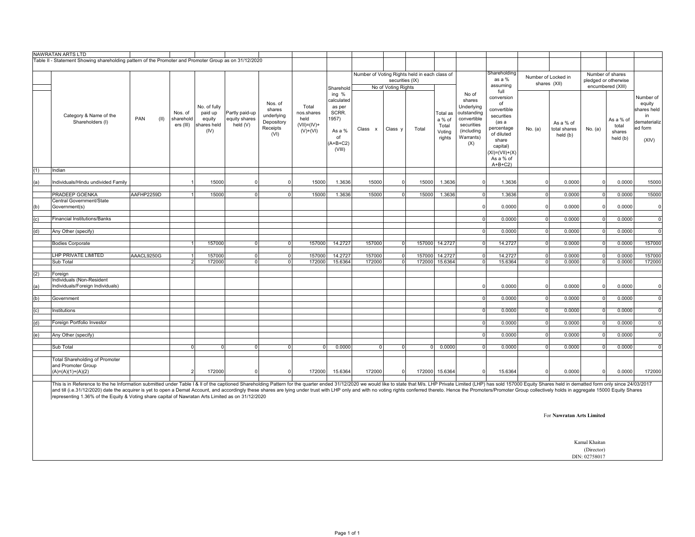|            | NAWRATAN ARTS LTD                                                                                                                                                                                                              |             |                                   |                                                          |                                             |                                                                   |                                                            |                                                                                         |                                               |                     |       |                                                 |                                                                                                             |                                                                                                                                                          |                |                                       |          |                                          |                                                                               |
|------------|--------------------------------------------------------------------------------------------------------------------------------------------------------------------------------------------------------------------------------|-------------|-----------------------------------|----------------------------------------------------------|---------------------------------------------|-------------------------------------------------------------------|------------------------------------------------------------|-----------------------------------------------------------------------------------------|-----------------------------------------------|---------------------|-------|-------------------------------------------------|-------------------------------------------------------------------------------------------------------------|----------------------------------------------------------------------------------------------------------------------------------------------------------|----------------|---------------------------------------|----------|------------------------------------------|-------------------------------------------------------------------------------|
|            | Table II - Statement Showing shareholding pattern of the Promoter and Promoter Group as on 31/12/2020                                                                                                                          |             |                                   |                                                          |                                             |                                                                   |                                                            |                                                                                         |                                               |                     |       |                                                 |                                                                                                             |                                                                                                                                                          |                |                                       |          |                                          |                                                                               |
|            |                                                                                                                                                                                                                                |             |                                   |                                                          |                                             |                                                                   |                                                            |                                                                                         | Number of Voting Rights held in each class of |                     |       |                                                 |                                                                                                             | Shareholding                                                                                                                                             |                |                                       |          | Number of shares                         |                                                                               |
|            |                                                                                                                                                                                                                                |             |                                   |                                                          |                                             |                                                                   |                                                            |                                                                                         |                                               | securities (IX)     |       |                                                 |                                                                                                             | as a %                                                                                                                                                   |                | Number of Locked in<br>shares (XII)   |          | pledged or otherwise                     |                                                                               |
|            |                                                                                                                                                                                                                                |             |                                   |                                                          |                                             |                                                                   |                                                            | Sharehold                                                                               |                                               | No of Voting Rights |       |                                                 |                                                                                                             | assuming<br>full                                                                                                                                         |                |                                       |          | encumbered (XIII)                        |                                                                               |
|            | Category & Name of the<br>Shareholders (I)                                                                                                                                                                                     | (II)<br>PAN | Nos. of<br>sharehold<br>ers (III) | No. of fully<br>paid up<br>equity<br>shares held<br>(IV) | Partly paid-up<br>equity shares<br>held (V) | Nos. of<br>shares<br>underlying<br>Depository<br>Receipts<br>(VI) | Total<br>nos.shares<br>held<br>$(VII)=(IV)+$<br>$(V)+(VI)$ | ing %<br>calculated<br>as per<br>SCRR.<br>1957)<br>As a %<br>of<br>$(A+B+C2)$<br>(VIII) | Class x                                       | Class y             | Total | Total as<br>a % of<br>Total<br>Voting<br>rights | No of<br>shares<br>Underlying<br>outstanding<br>convertible<br>securities<br>(including<br>Warrants)<br>(X) | conversion<br>of<br>convertible<br>securities<br>(as a<br>percentage<br>of diluted<br>share<br>capital)<br>$(XI) = (VII) + (X)$<br>As a % of<br>$A+B+C2$ | No. (a)        | As a % of<br>total shares<br>held (b) | No. (a)  | As a % of<br>total<br>shares<br>held (b) | Number of<br>equity<br>shares held<br>in.<br>dematerializ<br>ed form<br>(XIV) |
| (1)        | Indian                                                                                                                                                                                                                         |             |                                   |                                                          |                                             |                                                                   |                                                            |                                                                                         |                                               |                     |       |                                                 |                                                                                                             |                                                                                                                                                          |                |                                       |          |                                          |                                                                               |
| (a)        | Individuals/Hindu undivided Family                                                                                                                                                                                             |             |                                   | 15000                                                    | $\mathbf 0$                                 | $\Omega$                                                          | 15000                                                      | 1.3636                                                                                  | 15000                                         | $\Omega$            | 15000 | 1.3636                                          | $\Omega$                                                                                                    | 1.3636                                                                                                                                                   | $\Omega$       | 0.0000                                | $\Omega$ | 0.0000                                   | 15000                                                                         |
|            | <b>PRADEEP GOENKA</b>                                                                                                                                                                                                          | AAFHP2259D  |                                   | 15000                                                    | $\mathbf 0$                                 | $\overline{0}$                                                    | 15000                                                      | 1.3636                                                                                  | 15000                                         | $\Omega$            | 15000 | 1.3636                                          | $\Omega$                                                                                                    | 1.3636                                                                                                                                                   | $\Omega$       | 0.0000                                | $\Omega$ | 0.0000                                   | 15000                                                                         |
| (b)        | Central Government/State<br>Government(s)                                                                                                                                                                                      |             |                                   |                                                          |                                             |                                                                   |                                                            |                                                                                         |                                               |                     |       |                                                 | $\Omega$                                                                                                    | 0.0000                                                                                                                                                   | $\Omega$       | 0.0000                                | $\Omega$ | 0.0000                                   | $\overline{0}$                                                                |
|            |                                                                                                                                                                                                                                |             |                                   |                                                          |                                             |                                                                   |                                                            |                                                                                         |                                               |                     |       |                                                 |                                                                                                             |                                                                                                                                                          |                |                                       | $\Omega$ |                                          |                                                                               |
| (c)        | <b>Financial Institutions/Banks</b>                                                                                                                                                                                            |             |                                   |                                                          |                                             |                                                                   |                                                            |                                                                                         |                                               |                     |       |                                                 | $\Omega$                                                                                                    | 0.0000                                                                                                                                                   | $\overline{0}$ | 0.0000                                |          | 0.0000                                   | $\mathbf 0$                                                                   |
| (d)        | Any Other (specify)                                                                                                                                                                                                            |             |                                   |                                                          |                                             |                                                                   |                                                            |                                                                                         |                                               |                     |       |                                                 | $\Omega$                                                                                                    | 0.0000                                                                                                                                                   | $\Omega$       | 0.0000                                | $\Omega$ | 0.0000                                   | $\Omega$                                                                      |
|            | <b>Bodies Corporate</b>                                                                                                                                                                                                        |             |                                   | 157000                                                   | $\mathbf{0}$                                | $\overline{0}$                                                    | 157000                                                     | 14.2727                                                                                 | 157000                                        | $\Omega$            |       | 157000 14.2727                                  | $\Omega$                                                                                                    | 14.2727                                                                                                                                                  | $\overline{0}$ | 0.0000                                | $\Omega$ | 0.0000                                   | 157000                                                                        |
|            | LHP PRIVATE LIMITED                                                                                                                                                                                                            | AAACL9250G  | -1                                | 157000                                                   | $\mathbf{0}$                                | $\overline{0}$                                                    | 157000                                                     | 14.2727                                                                                 | 157000                                        | $\overline{0}$      |       | 157000 14.2727                                  | $\Omega$                                                                                                    | 14.2727                                                                                                                                                  | $\overline{0}$ | 0.0000                                | $\Omega$ | 0.0000                                   | 157000                                                                        |
|            | Sub Total                                                                                                                                                                                                                      |             | $\overline{2}$                    | 172000                                                   | $\overline{0}$                              | $\overline{0}$                                                    | 172000                                                     | 15.6364                                                                                 | 172000                                        | $\overline{0}$      |       | 172000 15.6364                                  | $\Omega$                                                                                                    | 15.6364                                                                                                                                                  | $\overline{0}$ | 0.0000                                | $\Omega$ | 0.0000                                   | 172000                                                                        |
|            | Foreign                                                                                                                                                                                                                        |             |                                   |                                                          |                                             |                                                                   |                                                            |                                                                                         |                                               |                     |       |                                                 |                                                                                                             |                                                                                                                                                          |                |                                       |          |                                          |                                                                               |
| (2)<br>(a) | Individuals (Non-Resident<br>Individuals/Foreign Individuals)                                                                                                                                                                  |             |                                   |                                                          |                                             |                                                                   |                                                            |                                                                                         |                                               |                     |       |                                                 | $\Omega$                                                                                                    | 0.0000                                                                                                                                                   | $\Omega$       | 0.0000                                |          | 0.0000                                   | $\Omega$                                                                      |
|            |                                                                                                                                                                                                                                |             |                                   |                                                          |                                             |                                                                   |                                                            |                                                                                         |                                               |                     |       |                                                 |                                                                                                             |                                                                                                                                                          |                |                                       |          |                                          |                                                                               |
| (b)        | Government                                                                                                                                                                                                                     |             |                                   |                                                          |                                             |                                                                   |                                                            |                                                                                         |                                               |                     |       |                                                 | $\Omega$                                                                                                    | 0.0000                                                                                                                                                   | $\overline{0}$ | 0.0000                                | $\Omega$ | 0.0000                                   | $\mathbf 0$                                                                   |
| (c)        | Institutions                                                                                                                                                                                                                   |             |                                   |                                                          |                                             |                                                                   |                                                            |                                                                                         |                                               |                     |       |                                                 | $\overline{0}$                                                                                              | 0.0000                                                                                                                                                   | $\overline{0}$ | 0.0000                                | $\Omega$ | 0.0000                                   | $\mathbf 0$                                                                   |
| (d)        | Foreign Portfolio Investor                                                                                                                                                                                                     |             |                                   |                                                          |                                             |                                                                   |                                                            |                                                                                         |                                               |                     |       |                                                 | $\mathbf 0$                                                                                                 | 0.0000                                                                                                                                                   | $\overline{0}$ | 0.0000                                | $\Omega$ | 0.0000                                   | $\mathbf 0$                                                                   |
| (e)        | Any Other (specify)                                                                                                                                                                                                            |             |                                   |                                                          |                                             |                                                                   |                                                            |                                                                                         |                                               |                     |       |                                                 | $\Omega$                                                                                                    | 0.0000                                                                                                                                                   | $\Omega$       | 0.0000                                | $\Omega$ | 0.0000                                   | $\Omega$                                                                      |
|            | Sub Total                                                                                                                                                                                                                      |             | $\overline{0}$                    | $\Omega$                                                 | $\mathbf 0$                                 | $\overline{0}$                                                    | $\Omega$                                                   | 0.0000                                                                                  | $\Omega$                                      | $\Omega$            | ΩL    | 0.0000                                          | $\Omega$                                                                                                    | 0.0000                                                                                                                                                   | $\Omega$       | 0.0000                                |          | 0.0000                                   | $\Omega$                                                                      |
|            | <b>Total Shareholding of Promoter</b><br>and Promoter Group<br>$(A)=(A)(1)+(A)(2)$                                                                                                                                             |             | $\overline{2}$                    | 172000                                                   | $\mathbf 0$                                 | $\Omega$                                                          | 172000                                                     | 15.6364                                                                                 | 172000                                        | $\Omega$            |       | 172000 15.6364                                  | $\Omega$                                                                                                    | 15.6364                                                                                                                                                  | $\Omega$       | 0.0000                                |          | 0.0000                                   | 172000                                                                        |
|            | This is in Reference to the he Information submitted under Table I & II of the captioned Shareholding Pattern for the quarter ended 31/12/2020 we would like to state that Ms. LHP Private Limited (LHP) has sold 157000 Equit |             |                                   |                                                          |                                             |                                                                   |                                                            |                                                                                         |                                               |                     |       |                                                 |                                                                                                             |                                                                                                                                                          |                |                                       |          |                                          |                                                                               |

This is in Reference to the he Information submitted under Table I & II of the captioned Shareholding Pattern for the quarter ended 31/12/2020 we would like to state that M/s. LHP Private Limited (LHP) has sold 157000 Equi

For **Nawratan Arts Limited**

Kamal Khaitan (Director)

DIN: 02758017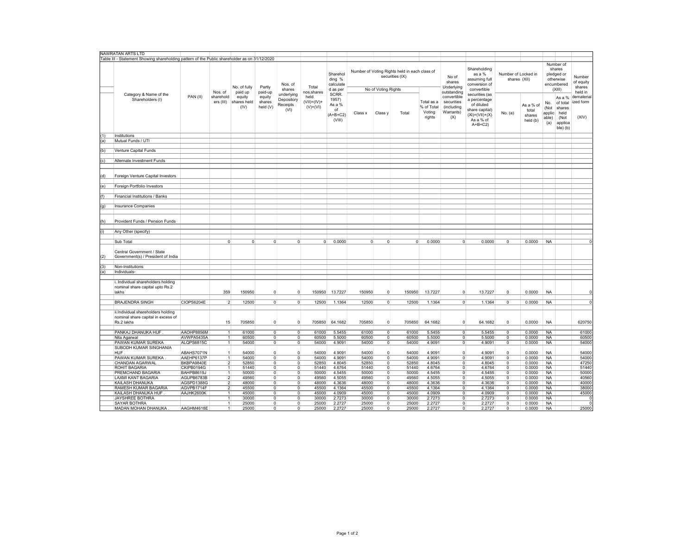|     | NAWRATAN ARTS LTD                                                                             |            |                         |                                          |                                         |                                              |                                        |                                                        |                |                     |                                                                  |                                              |                                                                            |                                                                                                                 |                                     |                                          |                                       |                                                                        |                                          |
|-----|-----------------------------------------------------------------------------------------------|------------|-------------------------|------------------------------------------|-----------------------------------------|----------------------------------------------|----------------------------------------|--------------------------------------------------------|----------------|---------------------|------------------------------------------------------------------|----------------------------------------------|----------------------------------------------------------------------------|-----------------------------------------------------------------------------------------------------------------|-------------------------------------|------------------------------------------|---------------------------------------|------------------------------------------------------------------------|------------------------------------------|
|     | Table III - Statement Showing shareholding pattern of the Public shareholder as on 31/12/2020 |            |                         |                                          |                                         |                                              |                                        |                                                        |                |                     |                                                                  |                                              |                                                                            |                                                                                                                 |                                     |                                          |                                       |                                                                        |                                          |
|     | Category & Name of the                                                                        |            | Nos. of                 | No. of fully                             | Partly                                  | Nos. of<br>shares                            | Total<br>nos.shares                    | Sharehol<br>ding %<br>calculate<br>d as per            |                | No of Voting Rights | Number of Voting Rights held in each class of<br>securities (IX) |                                              | No of<br>shares<br>Underlying                                              | Shareholding<br>as a %<br>assuming full<br>conversion of<br>convertible                                         | Number of Locked in<br>shares (XII) |                                          |                                       | Number of<br>shares<br>pledged or<br>otherwise<br>encumbered<br>(XIII) | Number<br>of equity<br>shares<br>held in |
|     | Shareholders (I)                                                                              | PAN (II)   | sharehold<br>ers (III)  | paid up<br>equity<br>shares held<br>(IV) | paid-up<br>equity<br>shares<br>held (V) | underlying<br>Depository<br>Receipts<br>(VI) | held<br>$(VII) = (IV) +$<br>$(V)+(VI)$ | SCRR.<br>1957)<br>As a %<br>of<br>$(A+B+C2)$<br>(VIII) | Class x        | Class y             | Total                                                            | Total as a<br>% of Total<br>Voting<br>rights | outstanding<br>convertible<br>securities<br>(including<br>Warrants)<br>(X) | securities (as<br>a percentage<br>of diluted<br>share capital)<br>$(XI) = (VII) + (X)$<br>As a % of<br>$A+B+C2$ | No. (a)                             | As a % of<br>total<br>shares<br>held (b) | No.<br>(Not<br>applic<br>able)<br>(a) | As a %<br>of total<br>shares<br>held<br>(Not<br>applica<br>ble) (b)    | demateria<br>ized form<br>(XIV)          |
| (1) | Institutions                                                                                  |            |                         |                                          |                                         |                                              |                                        |                                                        |                |                     |                                                                  |                                              |                                                                            |                                                                                                                 |                                     |                                          |                                       |                                                                        |                                          |
| (a) | Mutual Funds / UTI                                                                            |            |                         |                                          |                                         |                                              |                                        |                                                        |                |                     |                                                                  |                                              |                                                                            |                                                                                                                 |                                     |                                          |                                       |                                                                        |                                          |
|     |                                                                                               |            |                         |                                          |                                         |                                              |                                        |                                                        |                |                     |                                                                  |                                              |                                                                            |                                                                                                                 |                                     |                                          |                                       |                                                                        |                                          |
| (b) | Venture Capital Funds                                                                         |            |                         |                                          |                                         |                                              |                                        |                                                        |                |                     |                                                                  |                                              |                                                                            |                                                                                                                 |                                     |                                          |                                       |                                                                        |                                          |
|     |                                                                                               |            |                         |                                          |                                         |                                              |                                        |                                                        |                |                     |                                                                  |                                              |                                                                            |                                                                                                                 |                                     |                                          |                                       |                                                                        |                                          |
| (c) | Alternate Investment Funds                                                                    |            |                         |                                          |                                         |                                              |                                        |                                                        |                |                     |                                                                  |                                              |                                                                            |                                                                                                                 |                                     |                                          |                                       |                                                                        |                                          |
|     |                                                                                               |            |                         |                                          |                                         |                                              |                                        |                                                        |                |                     |                                                                  |                                              |                                                                            |                                                                                                                 |                                     |                                          |                                       |                                                                        |                                          |
| (d) | Foreign Venture Capital Investors                                                             |            |                         |                                          |                                         |                                              |                                        |                                                        |                |                     |                                                                  |                                              |                                                                            |                                                                                                                 |                                     |                                          |                                       |                                                                        |                                          |
| (e) | Foreign Portfolio Investors                                                                   |            |                         |                                          |                                         |                                              |                                        |                                                        |                |                     |                                                                  |                                              |                                                                            |                                                                                                                 |                                     |                                          |                                       |                                                                        |                                          |
|     |                                                                                               |            |                         |                                          |                                         |                                              |                                        |                                                        |                |                     |                                                                  |                                              |                                                                            |                                                                                                                 |                                     |                                          |                                       |                                                                        |                                          |
| (f) | Financial Institutions / Banks                                                                |            |                         |                                          |                                         |                                              |                                        |                                                        |                |                     |                                                                  |                                              |                                                                            |                                                                                                                 |                                     |                                          |                                       |                                                                        |                                          |
|     |                                                                                               |            |                         |                                          |                                         |                                              |                                        |                                                        |                |                     |                                                                  |                                              |                                                                            |                                                                                                                 |                                     |                                          |                                       |                                                                        |                                          |
|     |                                                                                               |            |                         |                                          |                                         |                                              |                                        |                                                        |                |                     |                                                                  |                                              |                                                                            |                                                                                                                 |                                     |                                          |                                       |                                                                        |                                          |
| (g) | <b>Insurance Companies</b>                                                                    |            |                         |                                          |                                         |                                              |                                        |                                                        |                |                     |                                                                  |                                              |                                                                            |                                                                                                                 |                                     |                                          |                                       |                                                                        |                                          |
| (h) | Provident Funds / Pension Funds                                                               |            |                         |                                          |                                         |                                              |                                        |                                                        |                |                     |                                                                  |                                              |                                                                            |                                                                                                                 |                                     |                                          |                                       |                                                                        |                                          |
|     |                                                                                               |            |                         |                                          |                                         |                                              |                                        |                                                        |                |                     |                                                                  |                                              |                                                                            |                                                                                                                 |                                     |                                          |                                       |                                                                        |                                          |
| (i) | Any Other (specify)                                                                           |            |                         |                                          |                                         |                                              |                                        |                                                        |                |                     |                                                                  |                                              |                                                                            |                                                                                                                 |                                     |                                          |                                       |                                                                        |                                          |
|     |                                                                                               |            |                         |                                          |                                         |                                              |                                        |                                                        |                |                     |                                                                  |                                              |                                                                            |                                                                                                                 |                                     |                                          |                                       |                                                                        |                                          |
|     | Sub Total                                                                                     |            | $\Omega$                | $\overline{0}$                           | $\circ$                                 | $\circ$                                      | 0                                      | 0.0000                                                 | $\overline{0}$ | $\Omega$            | $\overline{0}$                                                   | 0.0000                                       | $\overline{0}$                                                             | 0.0000                                                                                                          | $\mathsf 0$                         | 0.0000                                   | <b>NA</b>                             |                                                                        |                                          |
|     |                                                                                               |            |                         |                                          |                                         |                                              |                                        |                                                        |                |                     |                                                                  |                                              |                                                                            |                                                                                                                 |                                     |                                          |                                       |                                                                        |                                          |
|     | Central Government / State                                                                    |            |                         |                                          |                                         |                                              |                                        |                                                        |                |                     |                                                                  |                                              |                                                                            |                                                                                                                 |                                     |                                          |                                       |                                                                        |                                          |
| (2) | Government(s) / President of India                                                            |            |                         |                                          |                                         |                                              |                                        |                                                        |                |                     |                                                                  |                                              |                                                                            |                                                                                                                 |                                     |                                          |                                       |                                                                        |                                          |
|     |                                                                                               |            |                         |                                          |                                         |                                              |                                        |                                                        |                |                     |                                                                  |                                              |                                                                            |                                                                                                                 |                                     |                                          |                                       |                                                                        |                                          |
| (3) | Non-Institutions                                                                              |            |                         |                                          |                                         |                                              |                                        |                                                        |                |                     |                                                                  |                                              |                                                                            |                                                                                                                 |                                     |                                          |                                       |                                                                        |                                          |
| (a) | Individuals-                                                                                  |            |                         |                                          |                                         |                                              |                                        |                                                        |                |                     |                                                                  |                                              |                                                                            |                                                                                                                 |                                     |                                          |                                       |                                                                        |                                          |
|     |                                                                                               |            |                         |                                          |                                         |                                              |                                        |                                                        |                |                     |                                                                  |                                              |                                                                            |                                                                                                                 |                                     |                                          |                                       |                                                                        |                                          |
|     | Individual shareholders holding<br>nominal share capital upto Rs.2<br>lakhs                   |            | 359                     | 150950                                   | $\overline{0}$                          | $\circ$                                      | 150950                                 | 13.7227                                                | 150950         | $\Omega$            | 150950                                                           | 13.7227                                      | $^{\circ}$                                                                 | 13.7227                                                                                                         | 0                                   | 0.0000                                   | <b>NA</b>                             |                                                                        |                                          |
|     |                                                                                               |            |                         |                                          |                                         |                                              |                                        |                                                        |                |                     |                                                                  |                                              |                                                                            |                                                                                                                 |                                     |                                          |                                       |                                                                        |                                          |
|     | <b>BRAJENDRA SINGH</b>                                                                        | CIOPS6204E | $\mathfrak{p}$          | 12500                                    | $\circ$                                 | $\circ$                                      | 12500                                  | 1.1364                                                 | 12500          | 0                   | 12500                                                            | 1.1364                                       | $\circ$                                                                    | 1.1364                                                                                                          | 0                                   | 0.0000                                   | <b>NA</b>                             |                                                                        | 0                                        |
|     | ii.Individual shareholders holding<br>nominal share capital in excess of<br>Rs.2 lakhs        |            | 15                      | 705850                                   | $\circ$                                 | $\circ$                                      | 705850                                 | 64.1682                                                | 705850         | $\Omega$            | 705850                                                           | 64.1682                                      | $\overline{0}$                                                             | 64.1682                                                                                                         | $\mathsf 0$                         | 0.0000                                   | NA                                    |                                                                        | 620750                                   |
|     |                                                                                               |            |                         |                                          |                                         |                                              |                                        |                                                        |                |                     |                                                                  |                                              |                                                                            |                                                                                                                 |                                     |                                          |                                       |                                                                        |                                          |
|     | PANKAJ DHANUKA HUF                                                                            | AAOHP8856M | 1                       | 61000                                    | $\circ$                                 | $\overline{0}$                               | 61000                                  | 5.5455                                                 | 61000          | $\overline{0}$      | 61000                                                            | 5.5455                                       | $\circ$                                                                    | 5.5455                                                                                                          | 0                                   | 0.0000                                   | <b>NA</b>                             |                                                                        | 61000                                    |
|     | Nita Agarwal                                                                                  | AVWPA5435A | $\mathbf{1}$            | 60500                                    | $\overline{0}$                          | $\overline{0}$                               | 60500                                  | 5.5000                                                 | 60500          | $\Omega$            | 60500                                                            | 5.5000                                       | $\overline{0}$                                                             | 5.5000                                                                                                          | 0                                   | 0.0000                                   | <b>NA</b>                             |                                                                        | 60500                                    |
|     | PAWAN KUMAR SUREKA                                                                            | ALQPS6815C | $\overline{1}$          | 54000                                    | $\overline{0}$                          | $\overline{0}$                               | 54000                                  | 4.9091                                                 | 54000          | $\mathbf{0}$        | 54000                                                            | 4.9091                                       | $\overline{0}$                                                             | 4.9091                                                                                                          | $\mathbf 0$                         | 0.0000                                   | <b>NA</b>                             |                                                                        | 54000                                    |
|     | SUBODH KUMAR SINGHANIA                                                                        |            |                         |                                          |                                         |                                              |                                        |                                                        |                |                     |                                                                  |                                              |                                                                            |                                                                                                                 |                                     |                                          |                                       |                                                                        |                                          |
|     | <b>HUF</b>                                                                                    | ABAHS7071N | 1                       | 54000                                    | $\overline{0}$                          | $\circ$                                      | 54000                                  | 4.9091                                                 | 54000          | $\mathbf 0$         | 54000                                                            | 4.9091                                       | $\mathbf 0$                                                                | 4.9091                                                                                                          | $\mathsf 0$                         | 0.0000                                   | <b>NA</b>                             |                                                                        | 54000                                    |
|     | PAWAN KUMAR SUREKA                                                                            | AAEHP6137P |                         | 54000                                    | $\circ$                                 | $\circ$                                      | 54000                                  | 4.9091                                                 | 54000          | $\Omega$            | 54000                                                            | 4.9091                                       | $\circ$                                                                    | 4.9091                                                                                                          | $\mathbf 0$                         | 0.0000                                   | <b>NA</b>                             |                                                                        | 54000                                    |
|     | CHANDAN AGARWAL                                                                               | BKBPA9840E | $\overline{\mathbf{2}}$ | 52850                                    | $\circ$                                 | $\overline{0}$                               | 52850                                  | 4.8045                                                 | 52850          | $\mathbf 0$         | 52850                                                            | 4.8045                                       | $\circ$                                                                    | 4.8045                                                                                                          | 0                                   | 0.0000                                   | <b>NA</b>                             |                                                                        | 47250                                    |
|     | ROHIT BAGARIA                                                                                 | CKIPB0194G | $\mathbf{1}$            | 51440                                    | $\overline{0}$                          | $\overline{0}$                               | 51440                                  | 4.6764                                                 | 51440          | $\Omega$            | 51440                                                            | 4.6764                                       | $\circ$                                                                    | 4.6764                                                                                                          | $\mathbf 0$                         | 0.0000                                   | <b>NA</b>                             |                                                                        | 51440                                    |
|     | PREMCHAND BAGARIA                                                                             | BAHPB8619J | 1                       | 50000                                    | $\overline{0}$                          | $\overline{0}$                               | 50000                                  | 4.5455                                                 | 50000          | $\overline{0}$      | 50000                                                            | 4.5455                                       | $\overline{0}$                                                             | 4.5455                                                                                                          | 0                                   | 0.0000                                   | <b>NA</b>                             |                                                                        | 50000                                    |
|     | LAXMI KANT BAGARIA                                                                            | AGUPB6783B | $\overline{2}$          | 49560                                    | $\overline{0}$                          | $\overline{0}$                               | 49560                                  | 4.5055                                                 | 49560          | $\mathbf 0$         | 49560                                                            | 4.5055                                       | $\overline{0}$                                                             | 4.5055                                                                                                          | 0                                   | 0.0000                                   | <b>NA</b>                             |                                                                        | 40560                                    |
|     | KAILASH DHANUKA                                                                               | AGSPD1388G | $\overline{2}$          | 48000                                    | $\circ$                                 | $\overline{0}$                               | 48000                                  | 4.3636                                                 | 48000          | $\overline{0}$      | 48000                                                            | 4.3636                                       | $\overline{0}$                                                             | 4.3636                                                                                                          | $^{\circ}$                          | 0.0000                                   | <b>NA</b>                             |                                                                        | 40000                                    |
|     | RAMESH KUMAR BAGARIA                                                                          | AGVPB1714F | $\overline{2}$          | 45500                                    | $\overline{0}$                          | $\overline{0}$                               | 45500                                  | 4.1364                                                 | 45500          | $\overline{0}$      | 45500                                                            | 4.1364                                       | $\overline{0}$                                                             | 4.1364                                                                                                          | 0                                   | 0.0000                                   | <b>NA</b>                             |                                                                        | 38000                                    |
|     | KAILASH DHANUKA HUF                                                                           | AAJHK2600K | 1                       | 45000                                    | $\overline{0}$                          | $\overline{\mathbf{0}}$                      | 45000                                  | 4.0909                                                 | 45000          | $\overline{0}$      | 45000                                                            | 4.0909                                       | $\overline{0}$                                                             | 4.0909                                                                                                          | $\overline{0}$                      | 0.0000                                   | <b>NA</b>                             |                                                                        | 45000                                    |
|     | JAYSHREE BOTHRA                                                                               |            | $\mathbf{1}$            | 30000                                    | $\overline{0}$                          | $\overline{0}$                               | 30000                                  | 2.7273                                                 | 30000          | $\mathbf{0}$        | 30000                                                            | 2.7273                                       | $\overline{0}$                                                             | 2.7273                                                                                                          | $\mathsf 0$                         | 0.0000                                   | <b>NA</b>                             |                                                                        | $\Omega$                                 |
|     | SAYAR BOTHRA                                                                                  |            | 1                       | 25000                                    | $\circ$                                 | $\circ$                                      | 25000                                  | 2.2727                                                 | 25000          | $\overline{0}$      | 25000                                                            | 2.2727                                       | $\overline{0}$                                                             | 2.2727                                                                                                          | 0                                   | 0.0000                                   | <b>NA</b>                             |                                                                        | $\Omega$                                 |
|     | MADAN MOHAN DHANUKA.                                                                          | AAGHM4618E | 1                       | 25000                                    | 0                                       | $\overline{0}$                               | 25000                                  | 2.2727                                                 | 25000          | $\mathbf 0$         | 25000                                                            | 2.2727                                       | $\overline{0}$                                                             | 2.2727                                                                                                          | $\mathbf 0$                         | 0.0000                                   | <b>NA</b>                             |                                                                        | 25000                                    |
|     |                                                                                               |            |                         |                                          |                                         |                                              |                                        |                                                        |                |                     |                                                                  |                                              |                                                                            |                                                                                                                 |                                     |                                          |                                       |                                                                        |                                          |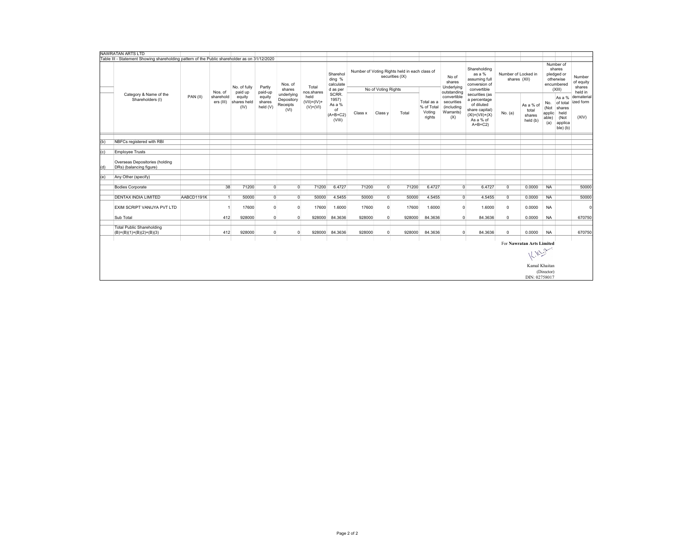|     | NAWRATAN ARTS LTD                                                                             |            |                        |                               |                              |                                              |                                     |                                                        |         |                     |                                                                  |                                              |                                                             |                                                                                                                 |                |                                          |                                       |                                                                        |                                          |
|-----|-----------------------------------------------------------------------------------------------|------------|------------------------|-------------------------------|------------------------------|----------------------------------------------|-------------------------------------|--------------------------------------------------------|---------|---------------------|------------------------------------------------------------------|----------------------------------------------|-------------------------------------------------------------|-----------------------------------------------------------------------------------------------------------------|----------------|------------------------------------------|---------------------------------------|------------------------------------------------------------------------|------------------------------------------|
|     | Table III - Statement Showing shareholding pattern of the Public shareholder as on 31/12/2020 |            |                        |                               |                              |                                              |                                     |                                                        |         |                     |                                                                  |                                              |                                                             |                                                                                                                 |                |                                          |                                       |                                                                        |                                          |
|     |                                                                                               |            | Nos. of                | No. of fully<br>paid up       | Partly<br>paid-up            | Nos. of<br>shares                            | Total<br>nos.shares                 | Sharehol<br>ding %<br>calculate<br>d as per            |         | No of Voting Rights | Number of Voting Rights held in each class of<br>securities (IX) |                                              | No of<br>shares<br>Underlying<br>outstanding                | Shareholding<br>as a %<br>assuming full<br>conversion of<br>convertible                                         |                | Number of Locked in<br>shares (XII)      |                                       | Number of<br>shares<br>pledged or<br>otherwise<br>encumbered<br>(XIII) | Number<br>of equity<br>shares<br>held in |
|     | Category & Name of the<br>Shareholders (I)                                                    | PAN(II)    | sharehold<br>ers (III) | equity<br>shares held<br>(IV) | equity<br>shares<br>held (V) | underlying<br>Depository<br>Receipts<br>(VI) | held<br>$(VII)=(IV)+$<br>$(V)+(VI)$ | SCRR.<br>1957)<br>As a %<br>of<br>$(A+B+C2)$<br>(VIII) | Class x | Class y             | Total                                                            | Total as a<br>% of Total<br>Voting<br>rights | convertible<br>securities<br>(including<br>Warrants)<br>(X) | securities (as<br>a percentage<br>of diluted<br>share capital)<br>$(XI) = (VII) + (X)$<br>As a % of<br>$A+B+C2$ | No. (a)        | As a % of<br>total<br>shares<br>held (b) | No.<br>(Not<br>applic<br>able)<br>(a) | As a %<br>of total<br>shares<br>held<br>(Not<br>applica<br>ble) (b)    | dematerial<br>ized form<br>(XIV)         |
|     |                                                                                               |            |                        |                               |                              |                                              |                                     |                                                        |         |                     |                                                                  |                                              |                                                             |                                                                                                                 |                |                                          |                                       |                                                                        |                                          |
| (b) | NBFCs registered with RBI                                                                     |            |                        |                               |                              |                                              |                                     |                                                        |         |                     |                                                                  |                                              |                                                             |                                                                                                                 |                |                                          |                                       |                                                                        |                                          |
| (c) | <b>Employee Trusts</b>                                                                        |            |                        |                               |                              |                                              |                                     |                                                        |         |                     |                                                                  |                                              |                                                             |                                                                                                                 |                |                                          |                                       |                                                                        |                                          |
|     |                                                                                               |            |                        |                               |                              |                                              |                                     |                                                        |         |                     |                                                                  |                                              |                                                             |                                                                                                                 |                |                                          |                                       |                                                                        |                                          |
| (d) | Overseas Depositories (holding<br>DRs) (balancing figure)                                     |            |                        |                               |                              |                                              |                                     |                                                        |         |                     |                                                                  |                                              |                                                             |                                                                                                                 |                |                                          |                                       |                                                                        |                                          |
|     |                                                                                               |            |                        |                               |                              |                                              |                                     |                                                        |         |                     |                                                                  |                                              |                                                             |                                                                                                                 |                |                                          |                                       |                                                                        |                                          |
| (e) | Any Other (specify)                                                                           |            |                        |                               |                              |                                              |                                     |                                                        |         |                     |                                                                  |                                              |                                                             |                                                                                                                 |                |                                          |                                       |                                                                        |                                          |
|     | <b>Bodies Corporate</b>                                                                       |            | 38                     | 71200                         | $\overline{0}$               | $\overline{0}$                               | 71200                               | 6.4727                                                 | 71200   | $\Omega$            | 71200                                                            | 6.4727                                       | $\overline{0}$                                              | 6.4727                                                                                                          | $\overline{0}$ | 0.0000                                   | <b>NA</b>                             |                                                                        | 50000                                    |
|     | <b>DENTAX INDIA LIMITED</b>                                                                   | AABCD1191K |                        | 50000                         | $\overline{0}$               | $\circ$                                      | 50000                               | 4.5455                                                 | 50000   | $\Omega$            | 50000                                                            | 4.5455                                       | $\Omega$                                                    | 4.5455                                                                                                          | $^{\circ}$     | 0.0000                                   | <b>NA</b>                             |                                                                        | 50000                                    |
|     | EXIM SCRIPT VANIJYA PVT LTD                                                                   |            |                        | 17600                         | $\overline{0}$               | $\circ$                                      | 17600                               | 1.6000                                                 | 17600   | $\Omega$            | 17600                                                            | 1.6000                                       | $\Omega$                                                    | 1.6000                                                                                                          | $\mathbf 0$    | 0.0000                                   | <b>NA</b>                             |                                                                        | $\epsilon$                               |
|     |                                                                                               |            |                        |                               |                              |                                              |                                     |                                                        |         |                     |                                                                  |                                              |                                                             |                                                                                                                 |                |                                          |                                       |                                                                        |                                          |
|     | Sub Total                                                                                     |            | 412                    | 928000                        | $\overline{0}$               | $\overline{0}$                               | 928000                              | 84.3636                                                | 928000  | $\Omega$            | 928000                                                           | 84.3636                                      | $\Omega$                                                    | 84.3636                                                                                                         | $\overline{0}$ | 0.0000                                   | <b>NA</b>                             |                                                                        | 670750                                   |
|     | <b>Total Public Shareholding</b><br>$(B)=(B)(1)+(B)(2)+(B)(3)$                                |            | 412                    | 928000                        | $\overline{0}$               | $\mathbf 0$                                  | 928000                              | 84.3636                                                | 928000  | $\overline{0}$      | 928000                                                           | 84.3636                                      | $\Omega$                                                    | 84.3636                                                                                                         | $\mathbf 0$    | 0.0000                                   | <b>NA</b>                             |                                                                        | 670750                                   |
|     |                                                                                               |            |                        |                               |                              |                                              |                                     |                                                        |         |                     |                                                                  |                                              |                                                             |                                                                                                                 |                |                                          |                                       |                                                                        |                                          |
|     |                                                                                               |            |                        |                               |                              |                                              |                                     |                                                        |         |                     |                                                                  |                                              |                                                             |                                                                                                                 |                | For Nawratan Arts Limited                |                                       |                                                                        |                                          |
|     | Killy                                                                                         |            |                        |                               |                              |                                              |                                     |                                                        |         |                     |                                                                  |                                              |                                                             |                                                                                                                 |                |                                          |                                       |                                                                        |                                          |
|     | Kamal Khaitan                                                                                 |            |                        |                               |                              |                                              |                                     |                                                        |         |                     |                                                                  |                                              |                                                             |                                                                                                                 |                |                                          |                                       |                                                                        |                                          |
|     | (Director)                                                                                    |            |                        |                               |                              |                                              |                                     |                                                        |         |                     |                                                                  |                                              |                                                             |                                                                                                                 |                |                                          |                                       |                                                                        |                                          |
|     |                                                                                               |            |                        |                               |                              |                                              |                                     |                                                        |         |                     |                                                                  |                                              |                                                             |                                                                                                                 |                | DIN: 02758017                            |                                       |                                                                        |                                          |
|     |                                                                                               |            |                        |                               |                              |                                              |                                     |                                                        |         |                     |                                                                  |                                              |                                                             |                                                                                                                 |                |                                          |                                       |                                                                        |                                          |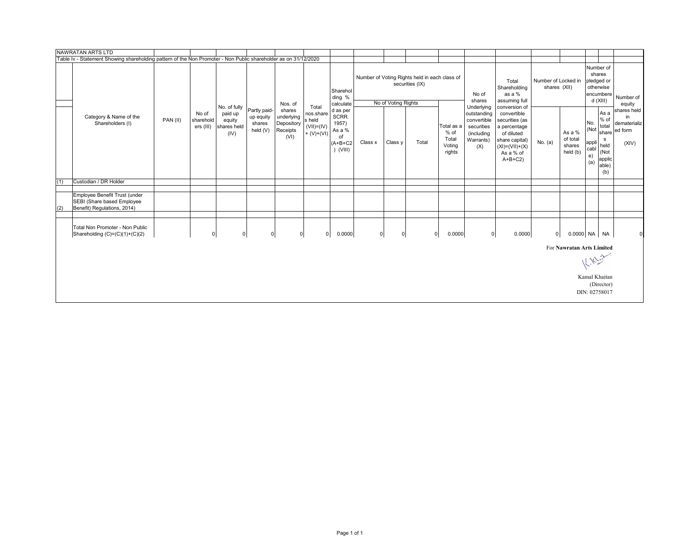|     | NAWRATAN ARTS LTD                                                                                               |          |                                 |                                                          |                                                 |                                                        |                                                               |                                                                       |         |                      |                                                                  |                                                 |                                                                                          |                                                                                                                                                 |                                     |                                          |                                                                         |                                                                                 |                                                       |
|-----|-----------------------------------------------------------------------------------------------------------------|----------|---------------------------------|----------------------------------------------------------|-------------------------------------------------|--------------------------------------------------------|---------------------------------------------------------------|-----------------------------------------------------------------------|---------|----------------------|------------------------------------------------------------------|-------------------------------------------------|------------------------------------------------------------------------------------------|-------------------------------------------------------------------------------------------------------------------------------------------------|-------------------------------------|------------------------------------------|-------------------------------------------------------------------------|---------------------------------------------------------------------------------|-------------------------------------------------------|
|     | Table Iv - Statement Showing shareholding pattern of the Non Promoter - Non Public shareholder as on 31/12/2020 |          |                                 |                                                          |                                                 |                                                        |                                                               |                                                                       |         |                      |                                                                  |                                                 |                                                                                          |                                                                                                                                                 |                                     |                                          |                                                                         |                                                                                 |                                                       |
|     |                                                                                                                 |          |                                 |                                                          |                                                 | Nos. of                                                |                                                               | Sharehol<br>ding %<br>calculate                                       |         | No of Voting Rights  | Number of Voting Rights held in each class of<br>securities (IX) |                                                 | No of<br>shares                                                                          | Total<br>Shareholding<br>as a %<br>assuming full                                                                                                | Number of Locked in<br>shares (XII) |                                          | Number of<br>shares<br>pledged or<br>otherwise<br>encumbere<br>d (XIII) |                                                                                 | Number of<br>equity                                   |
|     | Category & Name of the<br>Shareholders (I)                                                                      | PAN (II) | No of<br>sharehold<br>ers (III) | No. of fully<br>paid up<br>equity<br>shares held<br>(IV) | Partly paid-<br>up equity<br>shares<br>held (V) | shares<br>underlying<br>Depository<br>Receipts<br>(VI) | Total<br>nos.share<br>s held<br>$(VII)= (IV)$<br>$+ (V)+(VI)$ | d as per<br>SCRR.<br>1957)<br>As a %<br>of<br>$(A+B+C2$<br>$)$ (VIII) | Class x | Class y              | Total                                                            | Total as a<br>% of<br>Total<br>Voting<br>rights | Underlying<br>outstanding<br>convertible<br>securities<br>(including<br>Warrants)<br>(X) | conversion of<br>convertible<br>securities (as<br>a percentage<br>of diluted<br>share capital)<br>$(XI) = (VII) + (X)$<br>As a % of<br>$A+B+C2$ | No. (a)                             | As a %<br>of total<br>shares<br>held (b) | No.<br>(Not<br>appli<br>cabl<br>e)<br>(a)                               | As a<br>$%$ of<br>total<br>share<br>s<br>held<br>(Not<br>applic<br>able)<br>(b) | shares held<br>in<br>dematerializ<br>ed form<br>(XIV) |
| (1) | Custodian / DR Holder                                                                                           |          |                                 |                                                          |                                                 |                                                        |                                                               |                                                                       |         |                      |                                                                  |                                                 |                                                                                          |                                                                                                                                                 |                                     |                                          |                                                                         |                                                                                 |                                                       |
|     |                                                                                                                 |          |                                 |                                                          |                                                 |                                                        |                                                               |                                                                       |         |                      |                                                                  |                                                 |                                                                                          |                                                                                                                                                 |                                     |                                          |                                                                         |                                                                                 |                                                       |
| (2) | Employee Benefit Trust (under<br>SEBI (Share based Employee<br>Benefit) Regulations, 2014)                      |          |                                 |                                                          |                                                 |                                                        |                                                               |                                                                       |         |                      |                                                                  |                                                 |                                                                                          |                                                                                                                                                 |                                     |                                          |                                                                         |                                                                                 |                                                       |
|     | Total Non Promoter - Non Public<br>Shareholding (C)=(C)(1)+(C)(2)                                               |          | $\mathbf 0$                     | $\overline{0}$                                           | $\mathbf 0$                                     |                                                        | 0 <br> 0                                                      | 0.0000                                                                |         | 0 <br>$\overline{0}$ |                                                                  | 0.0000<br>$\overline{0}$                        | 0                                                                                        | 0.0000                                                                                                                                          | $\overline{0}$                      |                                          | 0.0000 NA NA                                                            |                                                                                 | $\mathbf 0$                                           |
|     |                                                                                                                 |          |                                 |                                                          |                                                 |                                                        |                                                               |                                                                       |         |                      |                                                                  |                                                 |                                                                                          |                                                                                                                                                 |                                     | For Nawratan Arts Limited                | 11.10                                                                   |                                                                                 |                                                       |
|     |                                                                                                                 |          |                                 |                                                          |                                                 |                                                        |                                                               |                                                                       |         |                      |                                                                  |                                                 |                                                                                          |                                                                                                                                                 |                                     |                                          | Kamal Khaitan<br>DIN: 02758017                                          | (Director)                                                                      |                                                       |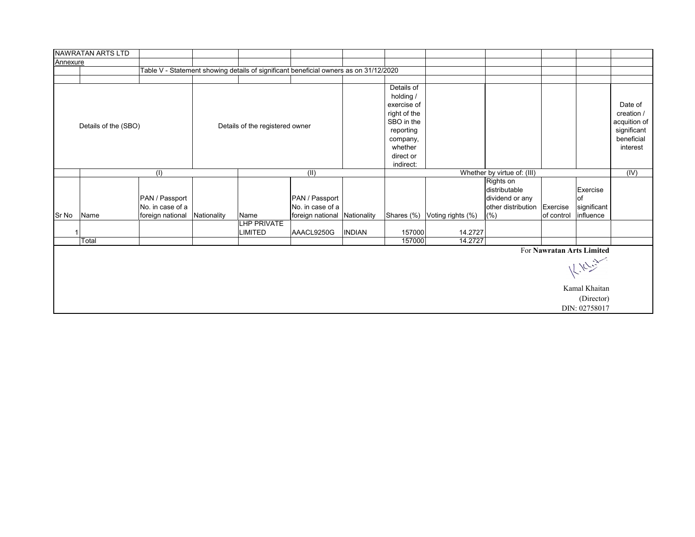|                                                      | NAWRATAN ARTS LTD                                                        |                           |             |                                                                                       |                  |               |                                                                                                          |                              |                                                                     |                           |                               |                                                                                |
|------------------------------------------------------|--------------------------------------------------------------------------|---------------------------|-------------|---------------------------------------------------------------------------------------|------------------|---------------|----------------------------------------------------------------------------------------------------------|------------------------------|---------------------------------------------------------------------|---------------------------|-------------------------------|--------------------------------------------------------------------------------|
| Annexure                                             |                                                                          |                           |             |                                                                                       |                  |               |                                                                                                          |                              |                                                                     |                           |                               |                                                                                |
|                                                      |                                                                          |                           |             | Table V - Statement showing details of significant beneficial owners as on 31/12/2020 |                  |               |                                                                                                          |                              |                                                                     |                           |                               |                                                                                |
|                                                      |                                                                          |                           |             |                                                                                       |                  |               |                                                                                                          |                              |                                                                     |                           |                               |                                                                                |
|                                                      | Details of the (SBO)                                                     |                           |             | Details of the registered owner                                                       |                  |               | Details of<br>holding /<br>exercise of<br>right of the<br>SBO in the<br>reporting<br>company,<br>whether |                              |                                                                     |                           |                               | Date of<br>creation /<br>acquition of<br>significant<br>beneficial<br>interest |
|                                                      |                                                                          |                           |             |                                                                                       |                  |               | direct or                                                                                                |                              |                                                                     |                           |                               |                                                                                |
|                                                      |                                                                          |                           |             |                                                                                       |                  |               | indirect:                                                                                                |                              | Whether by virtue of: (III)                                         |                           |                               |                                                                                |
|                                                      |                                                                          | $\overline{(\mathsf{I})}$ |             |                                                                                       | (II)             |               |                                                                                                          | (IV)                         |                                                                     |                           |                               |                                                                                |
|                                                      | PAN / Passport<br>PAN / Passport<br>No. in case of a<br>No. in case of a |                           |             |                                                                                       |                  |               |                                                                                                          |                              | Rights on<br>distributable<br>dividend or any<br>other distribution | Exercise                  | Exercise<br>οf<br>significant |                                                                                |
| Sr No                                                | Name                                                                     | foreign national          | Nationality | Name                                                                                  | foreign national | Nationality   |                                                                                                          | Shares (%) Voting rights (%) | (% )                                                                | of control                | influence                     |                                                                                |
| LHP PRIVATE<br><b>LIMITED</b><br>AAACL9250G<br>Total |                                                                          |                           |             |                                                                                       |                  | <b>INDIAN</b> | 157000<br>157000                                                                                         | 14.2727<br>14.2727           |                                                                     |                           |                               |                                                                                |
|                                                      |                                                                          |                           |             |                                                                                       |                  |               |                                                                                                          |                              |                                                                     | For Nawratan Arts Limited |                               |                                                                                |
|                                                      |                                                                          |                           |             |                                                                                       |                  |               |                                                                                                          |                              |                                                                     |                           | K. N. Link<br>Kamal Khaitan   |                                                                                |
|                                                      |                                                                          |                           |             |                                                                                       |                  |               |                                                                                                          |                              |                                                                     |                           | (Director)<br>DIN: 02758017   |                                                                                |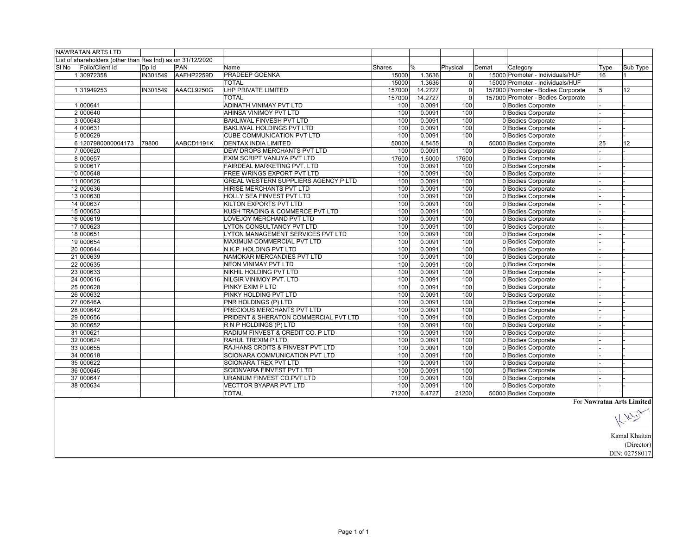|       | <b>NAWRATAN ARTS LTD</b>                                   |          |            |                                       |        |         |                |       |                                    |      |                           |
|-------|------------------------------------------------------------|----------|------------|---------------------------------------|--------|---------|----------------|-------|------------------------------------|------|---------------------------|
|       | List of shareholders (other than Res Ind) as on 31/12/2020 |          |            |                                       |        |         |                |       |                                    |      |                           |
| SI No | Folio/Client Id                                            | Dp Id    | <b>PAN</b> | Name                                  | Shares | $\%$    | Physical       | Demat | Category                           | Type | Sub Type                  |
|       | 130972358                                                  | IN301549 | AAFHP2259D | PRADEEP GOENKA                        | 15000  | 1.3636  | $\overline{0}$ |       | 15000 Promoter - Individuals/HUF   | 16   | 11                        |
|       |                                                            |          |            | <b>TOTAL</b>                          | 15000  | 1.3636  | $\Omega$       |       | 15000 Promoter - Individuals/HUF   |      |                           |
|       | 131949253                                                  | IN301549 | AAACL9250G | LHP PRIVATE LIMITED                   | 157000 | 14.2727 | $\overline{0}$ |       | 157000 Promoter - Bodies Corporate | 5    | 12                        |
|       |                                                            |          |            | <b>TOTAL</b>                          | 157000 | 14.2727 | $\Omega$       |       | 157000 Promoter - Bodies Corporate |      |                           |
|       | 1000641                                                    |          |            | ADINATH VINIMAY PVT LTD               | 100    | 0.0091  | 100            |       | 0 Bodies Corporate                 |      |                           |
|       | 2000640                                                    |          |            | AHINSA VINIMOY PVT LTD                | 100    | 0.0091  | 100            |       | 0 Bodies Corporate                 |      |                           |
|       | 3 000643                                                   |          |            | <b>BAKLIWAL FINVESH PVT LTD</b>       | 100    | 0.0091  | 100            |       | 0 Bodies Corporate                 |      |                           |
|       | 4 000631                                                   |          |            | BAKLIWAL HOLDINGS PVT LTD             | 100    | 0.0091  | 100            |       | 0 Bodies Corporate                 |      |                           |
|       | 5 000629                                                   |          |            | <b>CUBE COMMUNICATION PVT LTD</b>     | 100    | 0.0091  | 100            |       | 0 Bodies Corporate                 |      |                           |
|       | 6 1207980000004173                                         | 79800    | AABCD1191K | <b>DENTAX INDIA LIMITED</b>           | 50000  | 4.5455  | $\overline{0}$ |       | 50000 Bodies Corporate             | 25   | 12                        |
|       | 7 000620                                                   |          |            | DEW DROPS MERCHANTS PVT LTD           | 100    | 0.0091  | 100            |       | 0 Bodies Corporate                 |      |                           |
|       | 8000657                                                    |          |            | EXIM SCRIPT VANIJYA PVT LTD           | 17600  | 1.6000  | 17600          |       | 0 Bodies Corporate                 |      |                           |
|       | 9000617                                                    |          |            | FAIRDEAL MARKETING PVT. LTD           | 100    | 0.0091  | 100            |       | 0 Bodies Corporate                 |      |                           |
|       | 10 000648                                                  |          |            | FREE WRINGS EXPORT PVT LTD            | 100    | 0.0091  | 100            |       | 0 Bodies Corporate                 |      |                           |
|       | 11 000626                                                  |          |            | GREAL WESTERN SUPPLIERS AGENCY P LTD  | 100    | 0.0091  | 100            |       | 0 Bodies Corporate                 |      |                           |
|       | 12 000636                                                  |          |            | HIRISE MERCHANTS PVT LTD              | 100    | 0.0091  | 100            |       | 0 Bodies Corporate                 |      |                           |
|       | 13 000630                                                  |          |            | <b>HOLLY SEA FINVEST PVT LTD</b>      | 100    | 0.0091  | 100            |       | 0 Bodies Corporate                 |      |                           |
|       | 14 000637                                                  |          |            | KILTON EXPORTS PVT LTD                | 100    | 0.0091  | 100            |       | 0 Bodies Corporate                 |      |                           |
|       | 15 000653                                                  |          |            | KUSH TRADING & COMMERCE PVT LTD       | 100    | 0.0091  | 100            |       | 0 Bodies Corporate                 |      |                           |
|       | 16 000619                                                  |          |            | LOVEJOY MERCHAND PVT LTD              | 100    | 0.0091  | 100            |       | 0 Bodies Corporate                 |      |                           |
|       | 17 000623                                                  |          |            | LYTON CONSULTANCY PVT LTD             | 100    | 0.0091  | 100            |       | 0 Bodies Corporate                 |      |                           |
|       | 18 000651                                                  |          |            | LYTON MANAGEMENT SERVICES PVT LTD     | 100    | 0.0091  | 100            |       | 0 Bodies Corporate                 |      |                           |
|       | 19 000654                                                  |          |            | MAXIMUM COMMERCIAL PVT LTD            | 100    | 0.0091  | 100            |       | 0 Bodies Corporate                 |      |                           |
|       | 20 000644                                                  |          |            | N.K.P. HOLDING PVT LTD                | 100    | 0.0091  | 100            |       | 0 Bodies Corporate                 |      |                           |
|       | 21 000639                                                  |          |            | NAMOKAR MERCANDIES PVT LTD            | 100    | 0.0091  | 100            |       | 0 Bodies Corporate                 |      |                           |
|       | 22 000635                                                  |          |            | <b>NEON VINIMAY PVT LTD</b>           | 100    | 0.0091  | 100            |       | 0 Bodies Corporate                 |      |                           |
|       | 23 000633                                                  |          |            | NIKHIL HOLDING PVT LTD                | 100    | 0.0091  | 100            |       | 0 Bodies Corporate                 |      |                           |
|       | 24 000616                                                  |          |            | NILGIR VINIMOY PVT. LTD               | 100    | 0.0091  | 100            |       | 0 Bodies Corporate                 |      |                           |
|       | 25 000628                                                  |          |            | PINKY EXIM P LTD                      | 100    | 0.0091  | 100            |       | 0 Bodies Corporate                 |      |                           |
|       | 26 000632                                                  |          |            | PINKY HOLDING PVT LTD                 | 100    | 0.0091  | 100            |       | 0 Bodies Corporate                 |      |                           |
|       | 27 00646A                                                  |          |            | PNR HOLDINGS (P) LTD                  | 100    | 0.0091  | 100            |       | 0 Bodies Corporate                 |      |                           |
|       | 28 000642                                                  |          |            | PRECIOUS MERCHANTS PVT LTD            | 100    | 0.0091  | 100            |       | 0 Bodies Corporate                 |      |                           |
|       | 29 000656                                                  |          |            | PRIDENT & SHERATON COMMERCIAL PVT LTD | 100    | 0.0091  | 100            |       | 0 Bodies Corporate                 |      |                           |
|       | 30 000652                                                  |          |            | R N P HOLDINGS (P) LTD                | 100    | 0.0091  | 100            |       | 0 Bodies Corporate                 |      |                           |
|       | 31 000621                                                  |          |            | RADIUM FINVEST & CREDIT CO. P LTD     | 100    | 0.0091  | 100            |       | 0 Bodies Corporate                 |      |                           |
|       | 32 000624                                                  |          |            | RAHUL TREXIM P LTD                    | 100    | 0.0091  | 100            |       | 0 Bodies Corporate                 |      |                           |
|       | 33 000655                                                  |          |            | RAJHANS CRDITS & FINVEST PVT LTD      | 100    | 0.0091  | 100            |       | 0 Bodies Corporate                 |      |                           |
|       | 34 000618                                                  |          |            | SCIONARA COMMUNICATION PVT LTD        | 100    | 0.0091  | 100            |       | 0 Bodies Corporate                 |      |                           |
|       | 35 000622                                                  |          |            | SCIONARA TREX PVT LTD                 | 100    | 0.0091  | 100            |       | 0 Bodies Corporate                 |      |                           |
|       | 36 000645                                                  |          |            | <b>SCIONVARA FINVEST PVT LTD</b>      | 100    | 0.0091  | 100            |       | 0 Bodies Corporate                 |      |                           |
|       | 37 000647                                                  |          |            | URANIUM FINVEST CO.PVT LTD            | 100    | 0.0091  | 100            |       | 0 Bodies Corporate                 |      |                           |
|       | 38 000634                                                  |          |            | <b>VECTTOR BYAPAR PVT LTD</b>         | 100    | 0.0091  | 100            |       | 0 Bodies Corporate                 |      |                           |
|       |                                                            |          |            | <b>TOTAL</b>                          | 71200  | 6.4727  | 21200          |       | 50000 Bodies Corporate             |      |                           |
|       |                                                            |          |            |                                       |        |         |                |       |                                    |      | For Nawratan Arts Limited |

Art Similar<br>|<br>| X<sup>7</sup> Similar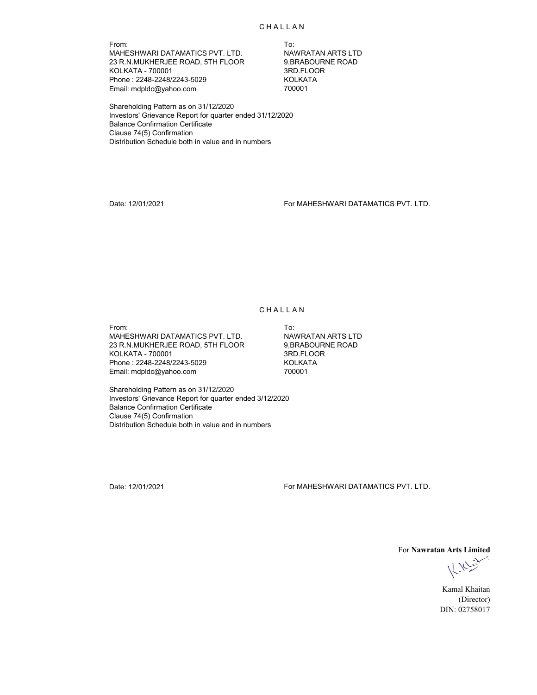From: To: MAHESHWARI DATAMATICS PVT. LTD. NAWRATAN ARTS LTD<br>23 R.N.MUKHERJEE ROAD, 5TH FLOOR 9,BRABOURNE ROAD 23 R.N.MUKHERJEE ROAD, 5TH FLOOR KOLKATA - 700001 3RD.FLOOR Phone : 2248-2248/2243-5029 KOLKATA Email: mdpldc@yahoo.com

Shareholding Pattern as on 31/12/2020 Investors' Grievance Report for quarter ended 31/12/2020 Balance Confirmation Certificate Clause 74(5) Confirmation Distribution Schedule both in value and in numbers

Date: 12/01/2021 For MAHESHWARI DATAMATICS PVT. LTD.

### **CHALLAN**

From: To: MAHESHWARI DATAMATICS PVT. LTD. NAWRATAN ARTS LTD 23 R.N.MUKHERJEE ROAD, 5TH FLOOR 9,BRABOURNE ROAD KOLKATA - 700001 3RD.FLOOR Phone : 2248-2248/2243-5029 KOLKATA Email: mdpldc@yahoo.com

Shareholding Pattern as on 31/12/2020 Investors' Grievance Report for quarter ended 3/12/2020 Balance Confirmation Certificate Clause 74(5) Confirmation Distribution Schedule both in value and in numbers

Date: 12/01/2021 For MAHESHWARI DATAMATICS PVT. LTD.

For **Nawratan Arts Limited**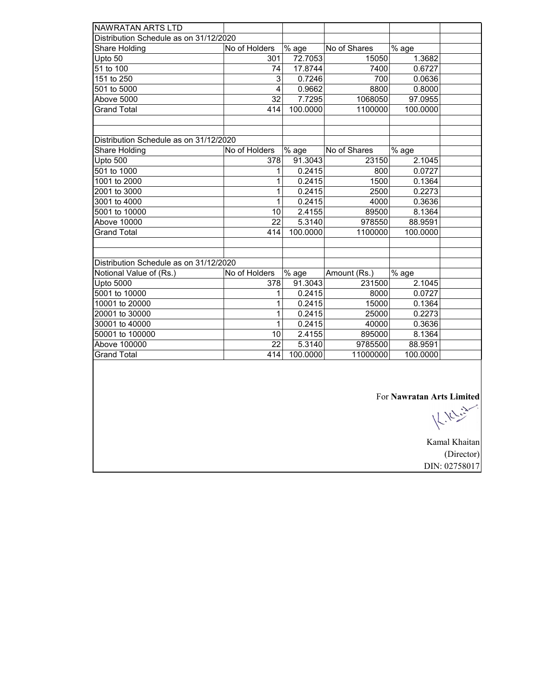| NAWRATAN ARTS LTD                      |                 |                     |              |          |  |
|----------------------------------------|-----------------|---------------------|--------------|----------|--|
| Distribution Schedule as on 31/12/2020 |                 |                     |              |          |  |
| Share Holding                          | No of Holders   | % age               | No of Shares | % age    |  |
| Upto 50                                | 301             | 72.7053             | 15050        | 1.3682   |  |
| 51 to 100                              | 74              | 17.8744             | 7400         | 0.6727   |  |
| 151 to 250                             | 3               | 0.7246              | 700          | 0.0636   |  |
| 501 to 5000                            | 4               | 0.9662              | 8800         | 0.8000   |  |
| Above 5000                             | 32              | 7.7295              | 1068050      | 97.0955  |  |
| <b>Grand Total</b>                     | 414             | 100.0000            | 1100000      | 100.0000 |  |
|                                        |                 |                     |              |          |  |
|                                        |                 |                     |              |          |  |
| Distribution Schedule as on 31/12/2020 |                 |                     |              |          |  |
| Share Holding                          | No of Holders   | % age               | No of Shares | % age    |  |
| Upto 500                               | 378             | 91.3043             | 23150        | 2.1045   |  |
| 501 to 1000                            | 1               | 0.2415              | 800          | 0.0727   |  |
| 1001 to 2000                           | 1               | 0.2415              | 1500         | 0.1364   |  |
| 2001 to 3000                           | 1               | 0.2415              | 2500         | 0.2273   |  |
| 3001 to 4000                           | 1               | 0.2415              | 4000         | 0.3636   |  |
| 5001 to 10000                          | 10              | 2.4155              | 89500        | 8.1364   |  |
| <b>Above 10000</b>                     | $\overline{22}$ | 5.3140              | 978550       | 88.9591  |  |
| <b>Grand Total</b>                     | 414             | 100.0000            | 1100000      | 100.0000 |  |
|                                        |                 |                     |              |          |  |
|                                        |                 |                     |              |          |  |
| Distribution Schedule as on 31/12/2020 |                 |                     |              |          |  |
| Notional Value of (Rs.)                | No of Holders   | $\overline{\%}$ age | Amount (Rs.) | % age    |  |
| <b>Upto 5000</b>                       | 378             | 91.3043             | 231500       | 2.1045   |  |
| 5001 to 10000                          | 1               | 0.2415              | 8000         | 0.0727   |  |
| 10001 to 20000                         | 1               | 0.2415              | 15000        | 0.1364   |  |
| 20001 to 30000                         | 1               | 0.2415              | 25000        | 0.2273   |  |
| 30001 to 40000                         | 1               | 0.2415              | 40000        | 0.3636   |  |
| 50001 to 100000                        | 10              | 2.4155              | 895000       | 8.1364   |  |
| Above 100000                           | 22              | 5.3140              | 9785500      | 88.9591  |  |
| <b>Grand Total</b>                     | 414             | 100.0000            | 11000000     | 100.0000 |  |
|                                        |                 |                     |              |          |  |

For **Nawratan Arts Limited**<br> $\bigcup_{k} \bigcup_{k} \bigcup_{k} \bigcup_{k} \bigcup_{k} \bigcup_{k} \bigcup_{k} \bigcup_{k} \bigcup_{k} \bigcup_{k} \bigcup_{k} \bigcup_{k} \bigcup_{k} \bigcup_{k} \bigcup_{k} \bigcup_{k} \bigcup_{k} \bigcup_{k} \bigcup_{k} \bigcup_{k} \bigcup_{k} \bigcup_{k} \bigcup_{k} \bigcup_{k} \bigcup_{k} \bigcup_{k} \bigcup_{k} \bigcup_{k} \bigcup_{k} \bigcup_{k} \bigcup_{k} \bigcup_{k} \$